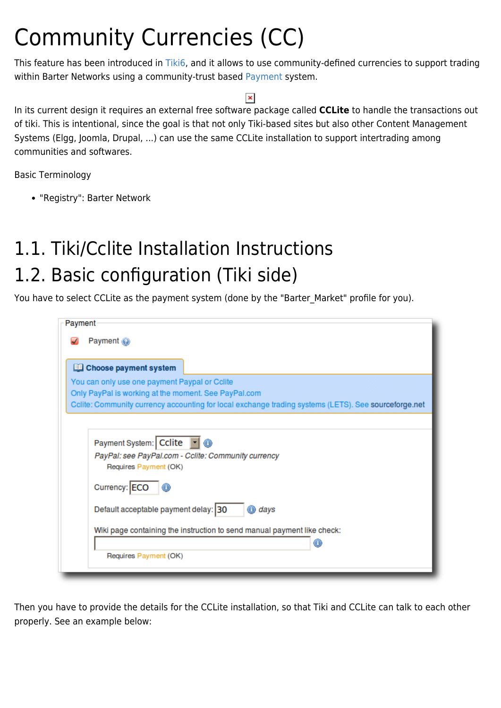# Community Currencies (CC)

This feature has been introduced in [Tiki6](https://doc.tiki.org/Tiki6), and it allows to use community-defined currencies to support trading within Barter Networks using a community-trust based [Payment](https://doc.tiki.org/Payment) system.

#### $\pmb{\times}$

In its current design it requires an external free software package called **CCLite** to handle the transactions out of tiki. This is intentional, since the goal is that not only Tiki-based sites but also other Content Management Systems (Elgg, Joomla, Drupal, ...) can use the same CCLite installation to support intertrading among communities and softwares.

Basic Terminology

"Registry": Barter Network

# 1.1. Tiki/Cclite Installation Instructions 1.2. Basic configuration (Tiki side)

You have to select CCLite as the payment system (done by the "Barter\_Market" profile for you).

| Payment                                                                                                  |
|----------------------------------------------------------------------------------------------------------|
| Payment <sup>2</sup>                                                                                     |
|                                                                                                          |
| Choose payment system                                                                                    |
| You can only use one payment Paypal or Cclite                                                            |
| Only PayPal is working at the moment. See PayPal.com                                                     |
| Cclite: Community currency accounting for local exchange trading systems (LETS). See sourceforge.net     |
|                                                                                                          |
| Payment System: Cclite  <br>PayPal: see PayPal.com - Cclite: Community currency<br>Requires Payment (OK) |
| Currency: ECO <b>O</b>                                                                                   |
| Default acceptable payment delay: 30<br>days                                                             |
| Wiki page containing the instruction to send manual payment like check:                                  |
|                                                                                                          |
| Requires Payment (OK)                                                                                    |
|                                                                                                          |

Then you have to provide the details for the CCLite installation, so that Tiki and CCLite can talk to each other properly. See an example below: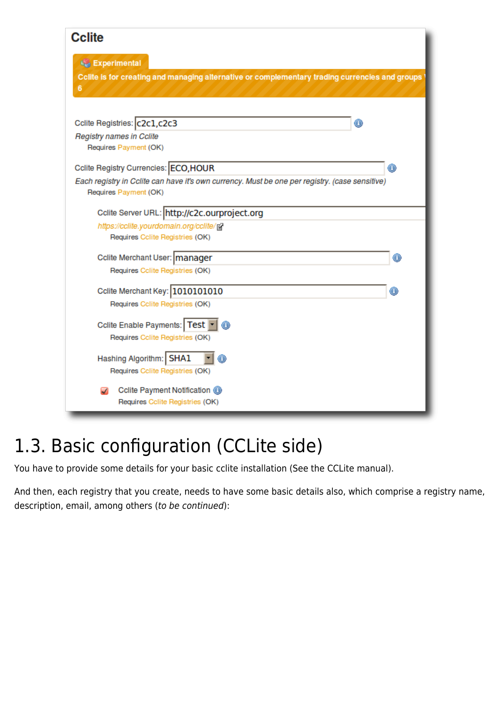#### **Cclite**

| Experimental<br>Cclite is for creating and managing alternative or complementary trading currencies and groups<br>6                                              |   |
|------------------------------------------------------------------------------------------------------------------------------------------------------------------|---|
| Cclite Registries: C2c1, c2c3<br>Registry names in Cclite<br>Requires Payment (OK)                                                                               | ◉ |
| Cclite Registry Currencies: ECO, HOUR<br>Each registry in Cclite can have it's own currency. Must be one per registry. (case sensitive)<br>Requires Payment (OK) | O |
| Cclite Server URL: http://c2c.ourproject.org<br>https://cclite.yourdomain.org/cclite/g<br>Requires Colite Registries (OK)                                        |   |
| Cclite Merchant User:   manager<br>Requires Colite Registries (OK)                                                                                               |   |
| Cclite Merchant Key: 1010101010<br>Requires Colite Registries (OK)                                                                                               | n |
| <b>Cclite Enable Payments:   Test</b><br>Requires Colite Registries (OK)                                                                                         |   |
| Hashing Algorithm:   SHA1<br>Requires Colite Registries (OK)                                                                                                     |   |
| Cclite Payment Notification <sup>1</sup><br>Requires Colite Registries (OK)                                                                                      |   |

## 1.3. Basic configuration (CCLite side)

You have to provide some details for your basic cclite installation (See the CCLite manual).

And then, each registry that you create, needs to have some basic details also, which comprise a registry name, description, email, among others (to be continued):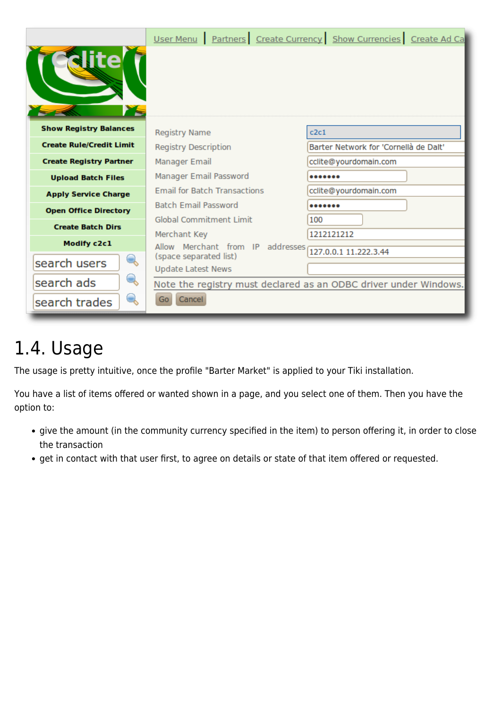|                                 |                                                     | User Menu   Partners   Create Currency   Show Currencies   Create Ad Ca |  |  |  |  |  |
|---------------------------------|-----------------------------------------------------|-------------------------------------------------------------------------|--|--|--|--|--|
| <b>H</b> ie                     |                                                     |                                                                         |  |  |  |  |  |
| <b>Show Registry Balances</b>   | <b>Registry Name</b>                                | c2c1                                                                    |  |  |  |  |  |
| <b>Create Rule/Credit Limit</b> | <b>Registry Description</b>                         | Barter Network for 'Cornellà de Dalt'                                   |  |  |  |  |  |
| <b>Create Registry Partner</b>  | Manager Email                                       | cclite@yourdomain.com                                                   |  |  |  |  |  |
| <b>Upload Batch Files</b>       | Manager Email Password                              |                                                                         |  |  |  |  |  |
| <b>Apply Service Charge</b>     | <b>Email for Batch Transactions</b>                 | cclite@yourdomain.com                                                   |  |  |  |  |  |
| <b>Open Office Directory</b>    | <b>Batch Email Password</b>                         |                                                                         |  |  |  |  |  |
| <b>Create Batch Dirs</b>        | Global Commitment Limit                             | 100                                                                     |  |  |  |  |  |
|                                 | Merchant Key                                        | 1212121212                                                              |  |  |  |  |  |
| Modify c2c1                     | Allow Merchant from IP addresses                    | 127.0.0.1 11.222.3.44                                                   |  |  |  |  |  |
| Q<br>search users               | (space separated list)<br><b>Update Latest News</b> |                                                                         |  |  |  |  |  |
| $\mathcal{L}$<br>search ads     |                                                     | Note the registry must declared as an ODBC driver under Windows.        |  |  |  |  |  |
| Q<br>search trades              | Cancel<br>Go                                        |                                                                         |  |  |  |  |  |

# 1.4. Usage

The usage is pretty intuitive, once the profile "Barter Market" is applied to your Tiki installation.

You have a list of items offered or wanted shown in a page, and you select one of them. Then you have the option to:

- give the amount (in the community currency specified in the item) to person offering it, in order to close the transaction
- get in contact with that user first, to agree on details or state of that item offered or requested.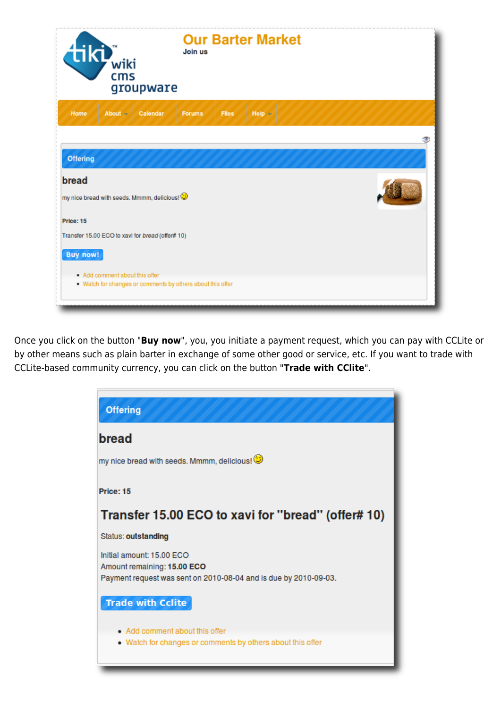| <b>Our Barter Market</b><br>tiki,<br>Join us<br>wiki<br>cms<br>groupware   |  |
|----------------------------------------------------------------------------|--|
| Home<br>About $-$<br><b>Files</b><br>$Heip =$<br>Calendar<br><b>Forums</b> |  |
|                                                                            |  |
| <b>Offering</b>                                                            |  |
| bread                                                                      |  |
| my nice bread with seeds. Mmmm, delicious!                                 |  |
| Price: 15                                                                  |  |
| Transfer 15.00 ECO to xavi for bread (offer# 10)                           |  |
| <b>Buy now!</b>                                                            |  |
| . Add comment about this offer                                             |  |
| . Watch for changes or comments by others about this offer                 |  |

Once you click on the button "**Buy now**", you, you initiate a payment request, which you can pay with CCLite or by other means such as plain barter in exchange of some other good or service, etc. If you want to trade with CCLite-based community currency, you can click on the button "**Trade with CClite**".

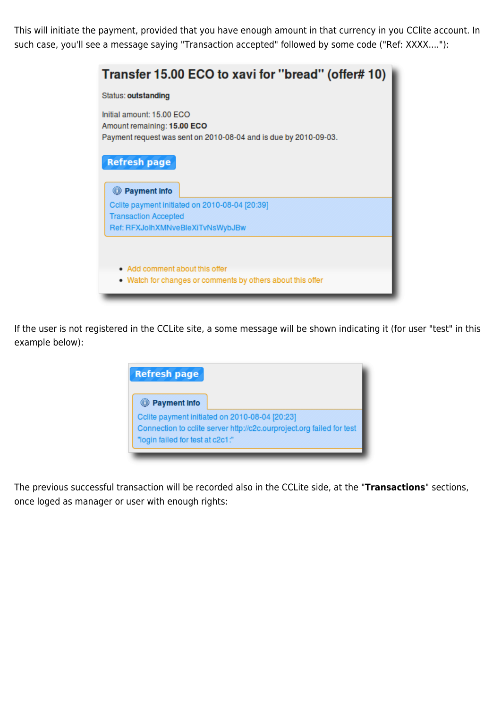This will initiate the payment, provided that you have enough amount in that currency in you CClite account. In such case, you'll see a message saying "Transaction accepted" followed by some code ("Ref: XXXX...."):

| Transfer 15.00 ECO to xavi for "bread" (offer# 10)                                                                           |
|------------------------------------------------------------------------------------------------------------------------------|
| Status: outstanding                                                                                                          |
| Initial amount: 15.00 ECO<br>Amount remaining: 15.00 ECO<br>Payment request was sent on 2010-08-04 and is due by 2010-09-03. |
| <b>Refresh page</b><br><sup>1</sup> Payment info                                                                             |
| Cclite payment initiated on 2010-08-04 [20:39]                                                                               |
| <b>Transaction Accepted</b>                                                                                                  |
| Ref: RFXJolhXMNveBleXiTvNsWybJBw                                                                                             |
| • Add comment about this offer<br>• Watch for changes or comments by others about this offer                                 |

If the user is not registered in the CCLite site, a some message will be shown indicating it (for user "test" in this example below):



The previous successful transaction will be recorded also in the CCLite side, at the "**Transactions**" sections, once loged as manager or user with enough rights: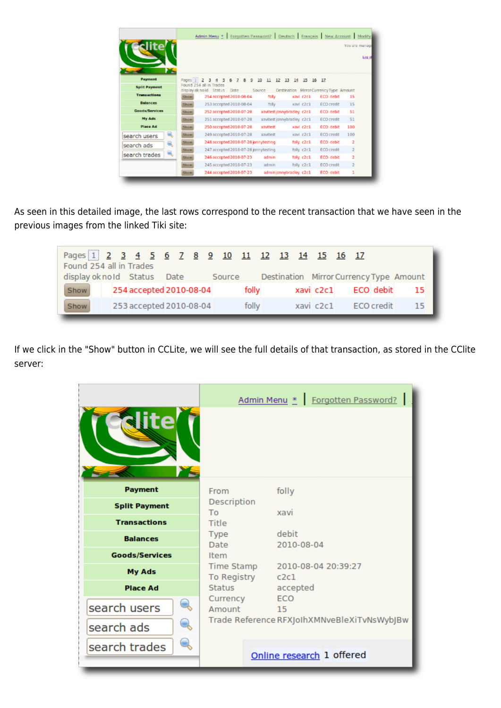|                      |                  | Admin Menu *   Forgotten Password?   Deutsch   Français   New Account   Modify |      |         |          |                            |    |            |                                         |                   | You are manage | Log o |
|----------------------|------------------|--------------------------------------------------------------------------------|------|---------|----------|----------------------------|----|------------|-----------------------------------------|-------------------|----------------|-------|
| Payment              | <b>Fages</b> 1 2 |                                                                                |      | 10<br>9 | 11       | 12<br>13                   | 14 | 15         | $10 - 17$                               |                   |                |       |
| <b>Split Payment</b> |                  | Found 254 all in Trades<br>display ok no id Status                             | Date | Source  |          |                            |    |            | Destination Mirror Currency Type Amount |                   |                |       |
| <b>Transactions</b>  | Show             | 254 accepted 2010-08-04                                                        |      |         | folly.   |                            |    | xavi c2c1  |                                         | ECD debit         | 15             |       |
| <b>Balances</b>      | Show             | 253 accepted 2010-08-04                                                        |      |         | folly.   |                            |    | xavi c2c1  |                                         | <b>ECO credit</b> | 15             |       |
| Goods/Services       | Show             | 252 accepted 2010-07-28                                                        |      |         |          | xavitest jonnybradley <2c1 |    |            |                                         | ECO debit         | 51             |       |
| My Ads               | Show             | 251 accepted 2010-07-28                                                        |      |         |          | xavitest jonnybradley c2c1 |    |            |                                         | <b>ECO</b> credit | 51             |       |
| Place Ad             | Show             | 250 accepted 2010-07-28                                                        |      |         | xavitest |                            |    | xavi c2c1  |                                         | ECO debit         | 100            |       |
| Q<br>search users    | <b>Show</b>      | 249 accepted 2010-07-28                                                        |      |         | xavitest |                            |    | xavi c2c1  |                                         | <b>ECO</b> credit | 100            |       |
| Q.<br>search ads     | Show             | 248 accepted 2010-07-28 jonnytesting                                           |      |         |          |                            |    | folly c2c1 |                                         | ECO debit         | 2              |       |
|                      | Show             | 247 accepted 2010-07-28 jonnytesting                                           |      |         |          |                            |    | folly c2c1 |                                         | ECO credit        | $\mathbf{r}$   |       |
| search trades        | Show             | 246 accepted 2010-07-23                                                        |      |         | admin    |                            |    | folly c2c1 |                                         | ECO debit         | 2              |       |
|                      | Show             | 245 accepted 2010-07-23                                                        |      |         | admin    |                            |    | folly c2c1 |                                         | ECO credit        | $\mathbf{r}$   |       |
|                      | Show             | 244 accepted 2010-07-23                                                        |      |         |          | admin jonnybradley c2c1    |    |            |                                         | ECO debit         | 1              |       |

As seen in this detailed image, the last rows correspond to the recent transaction that we have seen in the previous images from the linked Tiki site:

| Pages 1 2 3 4 5 6 7 8 9 10 11 12 13 14 15 16 17 |  |  |                         |       |       |  |  |                      |                                                |
|-------------------------------------------------|--|--|-------------------------|-------|-------|--|--|----------------------|------------------------------------------------|
| Found 254 all in Trades                         |  |  |                         |       |       |  |  |                      |                                                |
| display ok no Id Status Date                    |  |  |                         |       |       |  |  |                      | Source Destination Mirror Currency Type Amount |
| Show                                            |  |  | 254 accepted 2010-08-04 |       | folly |  |  |                      | xavi c2c1 ECO debit 15                         |
| Show                                            |  |  | 253 accepted 2010-08-04 | folly |       |  |  | xavi c2c1 ECO credit | 15                                             |

If we click in the "Show" button in CCLite, we will see the full details of that transaction, as stored in the CClite server:

| ite                   |                            | Admin Menu * Forgotten Password?            |
|-----------------------|----------------------------|---------------------------------------------|
| <b>Payment</b>        | From                       | folly                                       |
| <b>Split Payment</b>  | Description<br>To          | xavi                                        |
| <b>Transactions</b>   | Title                      |                                             |
| <b>Balances</b>       | <b>Type</b><br><b>Date</b> | debit<br>2010-08-04                         |
| <b>Goods/Services</b> | <b>Item</b>                |                                             |
| <b>My Ads</b>         | Time Stamp                 | 2010-08-04 20:39:27                         |
| <b>Place Ad</b>       | To Registry<br>Status      | c2c1<br>accepted                            |
| search users          | Currency<br>Amount         | ECO<br>15                                   |
|                       |                            | Trade Reference RFXJoIhXMNveBleXiTvNsWybJBw |
| search ads            |                            |                                             |
| search trades         |                            |                                             |
|                       |                            | Online research 1 offered                   |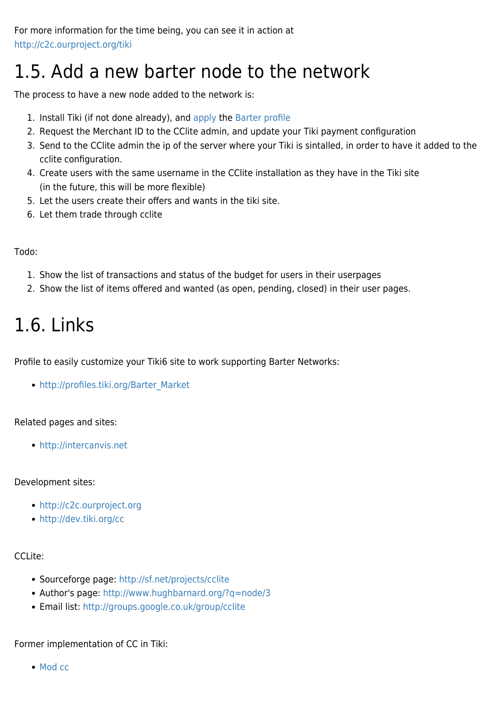## 1.5. Add a new barter node to the network

The process to have a new node added to the network is:

- 1. Install Tiki (if not done already), and [apply](http://profiles.tiki.org) the [Barter profile](http://profiles.tiki.org/Barter)
- 2. Request the Merchant ID to the CClite admin, and update your Tiki payment configuration
- 3. Send to the CClite admin the ip of the server where your Tiki is sintalled, in order to have it added to the cclite configuration.
- 4. Create users with the same username in the CClite installation as they have in the Tiki site (in the future, this will be more flexible)
- 5. Let the users create their offers and wants in the tiki site.
- 6. Let them trade through cclite

#### Todo:

- 1. Show the list of transactions and status of the budget for users in their userpages
- 2. Show the list of items offered and wanted (as open, pending, closed) in their user pages.

# 1.6. Links

Profile to easily customize your Tiki6 site to work supporting Barter Networks:

• [http://profiles.tiki.org/Barter\\_Market](http://profiles.tiki.org/Barter_Market)

#### Related pages and sites:

<http://intercanvis.net>

#### Development sites:

- <http://c2c.ourproject.org>
- <http://dev.tiki.org/cc>

#### CCLite:

- Sourceforge page: <http://sf.net/projects/cclite>
- Author's page: <http://www.hughbarnard.org/?q=node/3>
- Email list: <http://groups.google.co.uk/group/cclite>

#### Former implementation of CC in Tiki:

• [Mod cc](https://doc.tiki.org/Mod-cc)